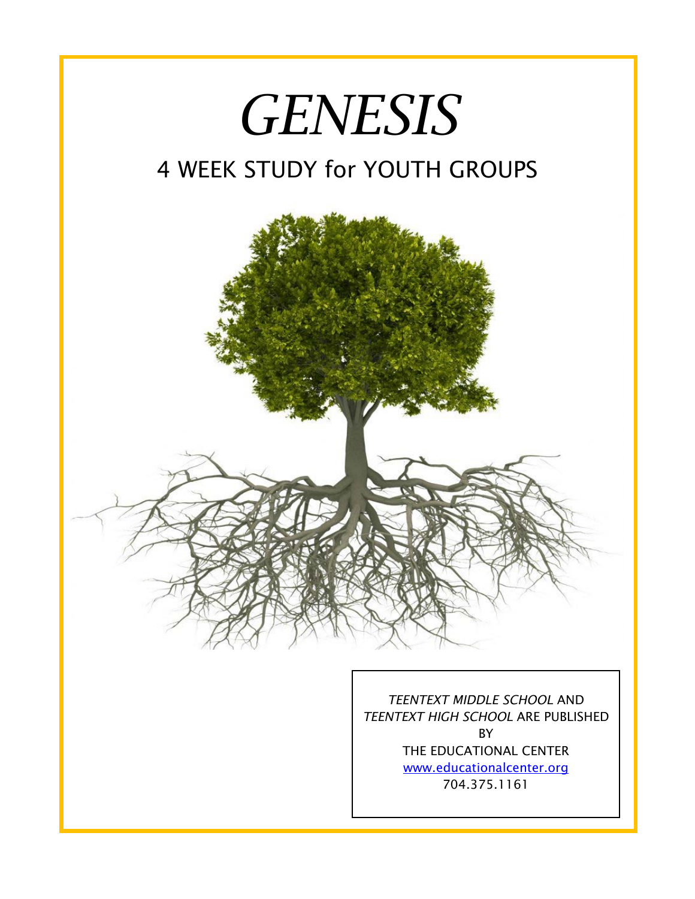



I

*TEENTEXT MIDDLE SCHOOL* AND *TEENTEXT HIGH SCHOOL* ARE PUBLISHED BY THE EDUCATIONAL CENTER [www.educationalcenter.org](http://www.educationalcenter.org/) 704.375.1161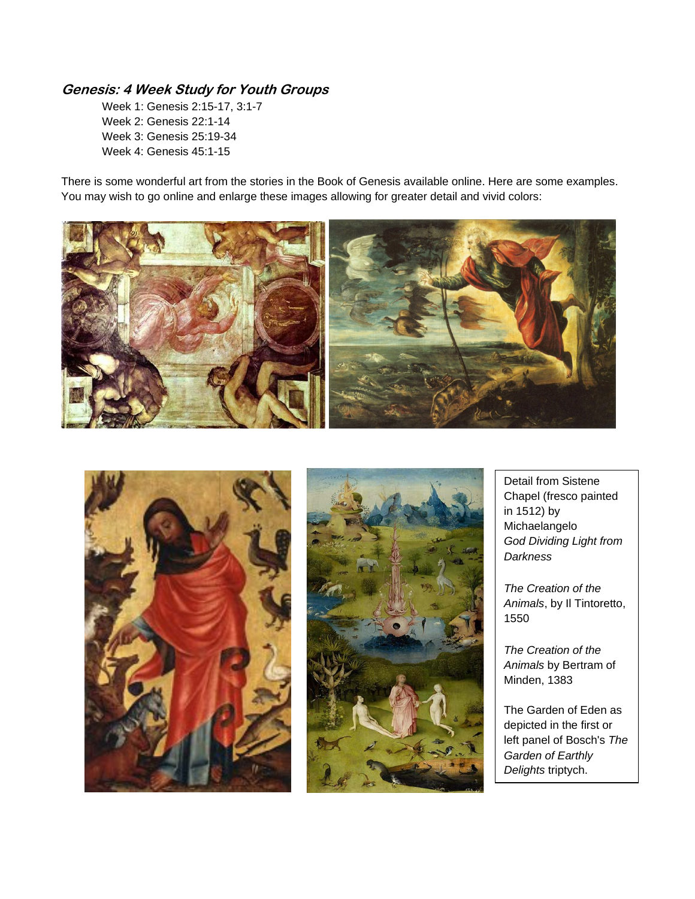## **Genesis: 4 Week Study for Youth Groups**

Week 1: Genesis 2:15-17, 3:1-7 Week 2: Genesis 22:1-14 Week 3: Genesis 25:19-34 Week 4: Genesis 45:1-15

There is some wonderful art from the stories in the Book of Genesis available online. Here are some examples. You may wish to go online and enlarge these images allowing for greater detail and vivid colors:







Detail from Sistene Chapel (fresco painted in 1512) by Michaelangelo *God Dividing Light from Darkness*

*The Creation of the Animals*, by Il Tintoretto, 1550

*The Creation of the Animals* by Bertram of Minden, 1383

The Garden of Eden as depicted in the first or left panel of Bosch's *The Garden of Earthly Delights* triptych.